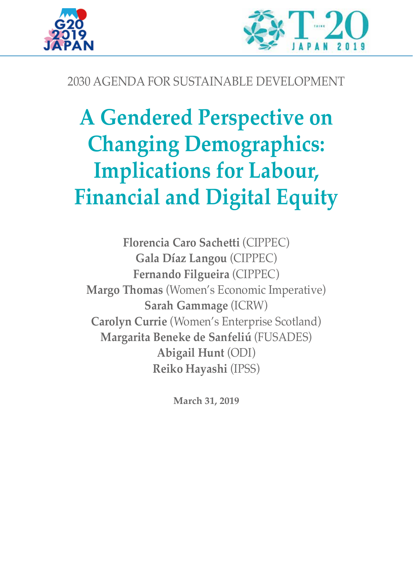



## 2030 AGENDA FOR SUSTAINABLE DEVELOPMENT

# **A Gendered Perspective on Changing Demographics: Implications for Labour, Financial and Digital Equity**

**Florencia Caro Sachetti** (CIPPEC) **Gala Díaz Langou** (CIPPEC) **Fernando Filgueira** (CIPPEC) **Margo Thomas** (Women's Economic Imperative) **Sarah Gammage** (ICRW) **Carolyn Currie** (Women's Enterprise Scotland) **Margarita Beneke de Sanfeliú** (FUSADES) **Abigail Hunt** (ODI) **Reiko Hayashi** (IPSS)

**March 31, 2019**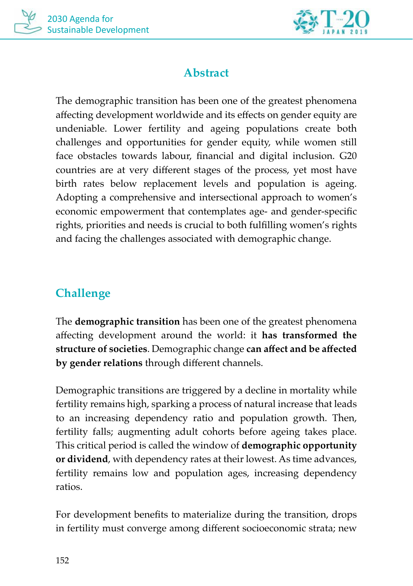



## **Abstract**

The demographic transition has been one of the greatest phenomena affecting development worldwide and its effects on gender equity are undeniable. Lower fertility and ageing populations create both challenges and opportunities for gender equity, while women still face obstacles towards labour, financial and digital inclusion. G20 countries are at very different stages of the process, yet most have birth rates below replacement levels and population is ageing. Adopting a comprehensive and intersectional approach to women's economic empowerment that contemplates age- and gender-specific rights, priorities and needs is crucial to both fulfilling women's rights and facing the challenges associated with demographic change.

## **Challenge**

The **demographic transition** has been one of the greatest phenomena affecting development around the world: it **has transformed the structure of societies**. Demographic change **can affect and be affected by gender relations** through different channels.

Demographic transitions are triggered by a decline in mortality while fertility remains high, sparking a process of natural increase that leads to an increasing dependency ratio and population growth. Then, fertility falls; augmenting adult cohorts before ageing takes place. This critical period is called the window of **demographic opportunity or dividend**, with dependency rates at their lowest. As time advances, fertility remains low and population ages, increasing dependency ratios.

For development benefits to materialize during the transition, drops in fertility must converge among different socioeconomic strata; new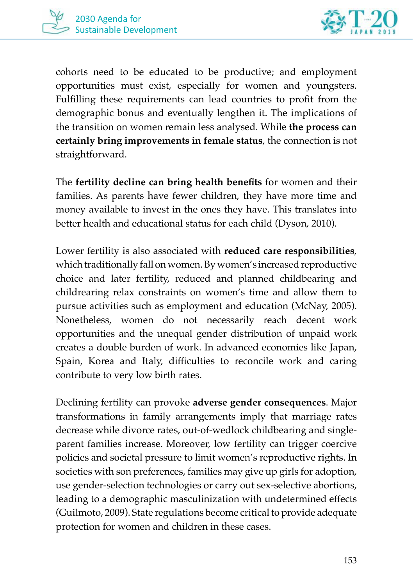



cohorts need to be educated to be productive; and employment opportunities must exist, especially for women and youngsters. Fulfilling these requirements can lead countries to profit from the demographic bonus and eventually lengthen it. The implications of the transition on women remain less analysed. While **the process can certainly bring improvements in female status**, the connection is not straightforward.

The **fertility decline can bring health benefits** for women and their families. As parents have fewer children, they have more time and money available to invest in the ones they have. This translates into better health and educational status for each child (Dyson, 2010).

Lower fertility is also associated with **reduced care responsibilities**, which traditionally fall on women. By women's increased reproductive choice and later fertility, reduced and planned childbearing and childrearing relax constraints on women's time and allow them to pursue activities such as employment and education (McNay, 2005). Nonetheless, women do not necessarily reach decent work opportunities and the unequal gender distribution of unpaid work creates a double burden of work. In advanced economies like Japan, Spain, Korea and Italy, difficulties to reconcile work and caring contribute to very low birth rates.

Declining fertility can provoke **adverse gender consequences**. Major transformations in family arrangements imply that marriage rates decrease while divorce rates, out-of-wedlock childbearing and singleparent families increase. Moreover, low fertility can trigger coercive policies and societal pressure to limit women's reproductive rights. In societies with son preferences, families may give up girls for adoption, use gender-selection technologies or carry out sex-selective abortions, leading to a demographic masculinization with undetermined effects (Guilmoto, 2009). State regulations become critical to provide adequate protection for women and children in these cases.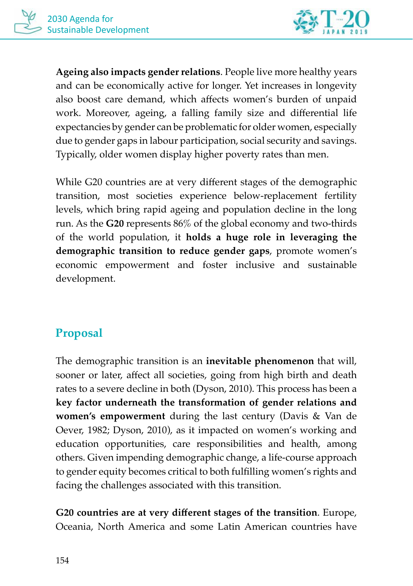

**Ageing also impacts gender relations**. People live more healthy years and can be economically active for longer. Yet increases in longevity also boost care demand, which affects women's burden of unpaid work. Moreover, ageing, a falling family size and differential life expectancies by gender can be problematic for older women, especially due to gender gaps in labour participation, social security and savings. Typically, older women display higher poverty rates than men.

While G20 countries are at very different stages of the demographic transition, most societies experience below-replacement fertility levels, which bring rapid ageing and population decline in the long run. As the **G20** represents 86% of the global economy and two-thirds of the world population, it **holds a huge role in leveraging the demographic transition to reduce gender gaps**, promote women's economic empowerment and foster inclusive and sustainable development.

## **Proposal**

The demographic transition is an **inevitable phenomenon** that will, sooner or later, affect all societies, going from high birth and death rates to a severe decline in both (Dyson, 2010). This process has been a **key factor underneath the transformation of gender relations and women's empowerment** during the last century (Davis & Van de Oever, 1982; Dyson, 2010), as it impacted on women's working and education opportunities, care responsibilities and health, among others. Given impending demographic change, a life-course approach to gender equity becomes critical to both fulfilling women's rights and facing the challenges associated with this transition.

**G20 countries are at very different stages of the transition**. Europe, Oceania, North America and some Latin American countries have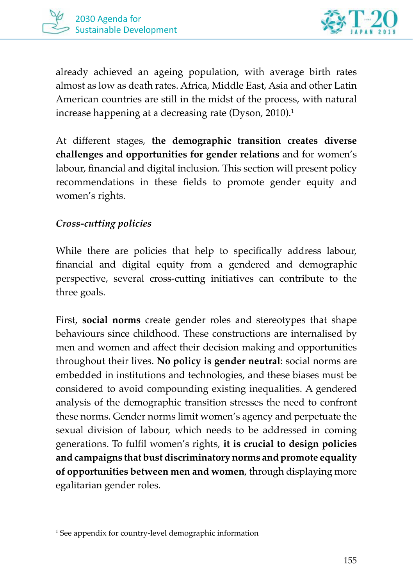



already achieved an ageing population, with average birth rates almost as low as death rates. Africa, Middle East, Asia and other Latin American countries are still in the midst of the process, with natural increase happening at a decreasing rate (Dyson, 2010).<sup>1</sup>

At different stages, **the demographic transition creates diverse challenges and opportunities for gender relations** and for women's labour, financial and digital inclusion. This section will present policy recommendations in these fields to promote gender equity and women's rights.

#### *Cross-cutting policies*

While there are policies that help to specifically address labour, financial and digital equity from a gendered and demographic perspective, several cross-cutting initiatives can contribute to the three goals.

First, **social norms** create gender roles and stereotypes that shape behaviours since childhood. These constructions are internalised by men and women and affect their decision making and opportunities throughout their lives. **No policy is gender neutral**: social norms are embedded in institutions and technologies, and these biases must be considered to avoid compounding existing inequalities. A gendered analysis of the demographic transition stresses the need to confront these norms. Gender norms limit women's agency and perpetuate the sexual division of labour, which needs to be addressed in coming generations. To fulfil women's rights, **it is crucial to design policies and campaigns that bust discriminatory norms and promote equality of opportunities between men and women**, through displaying more egalitarian gender roles.

<sup>1</sup> See appendix for country-level demographic information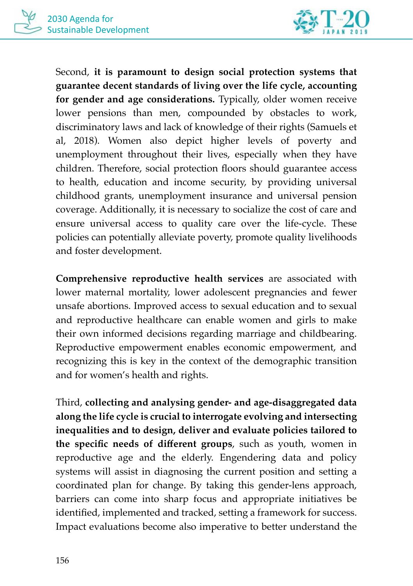

Second, **it is paramount to design social protection systems that guarantee decent standards of living over the life cycle, accounting for gender and age considerations.** Typically, older women receive lower pensions than men, compounded by obstacles to work, discriminatory laws and lack of knowledge of their rights (Samuels et al, 2018). Women also depict higher levels of poverty and unemployment throughout their lives, especially when they have children. Therefore, social protection floors should guarantee access to health, education and income security, by providing universal childhood grants, unemployment insurance and universal pension coverage. Additionally, it is necessary to socialize the cost of care and ensure universal access to quality care over the life-cycle. These policies can potentially alleviate poverty, promote quality livelihoods and foster development.

**Comprehensive reproductive health services** are associated with lower maternal mortality, lower adolescent pregnancies and fewer unsafe abortions. Improved access to sexual education and to sexual and reproductive healthcare can enable women and girls to make their own informed decisions regarding marriage and childbearing. Reproductive empowerment enables economic empowerment, and recognizing this is key in the context of the demographic transition and for women's health and rights.

Third, **collecting and analysing gender- and age-disaggregated data along the life cycle is crucial to interrogate evolving and intersecting inequalities and to design, deliver and evaluate policies tailored to the specific needs of different groups**, such as youth, women in reproductive age and the elderly. Engendering data and policy systems will assist in diagnosing the current position and setting a coordinated plan for change. By taking this gender-lens approach, barriers can come into sharp focus and appropriate initiatives be identified, implemented and tracked, setting a framework for success. Impact evaluations become also imperative to better understand the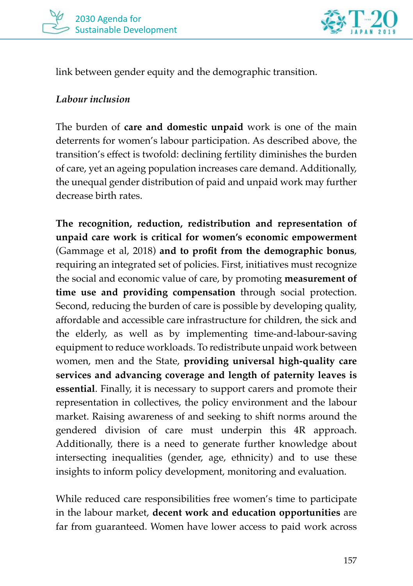



link between gender equity and the demographic transition.

#### *Labour inclusion*

The burden of **care and domestic unpaid** work is one of the main deterrents for women's labour participation. As described above, the transition's effect is twofold: declining fertility diminishes the burden of care, yet an ageing population increases care demand. Additionally, the unequal gender distribution of paid and unpaid work may further decrease birth rates.

**The recognition, reduction, redistribution and representation of unpaid care work is critical for women's economic empowerment** (Gammage et al, 2018) **and to profit from the demographic bonus**, requiring an integrated set of policies. First, initiatives must recognize the social and economic value of care, by promoting **measurement of time use and providing compensation** through social protection. Second, reducing the burden of care is possible by developing quality, affordable and accessible care infrastructure for children, the sick and the elderly, as well as by implementing time-and-labour-saving equipment to reduce workloads. To redistribute unpaid work between women, men and the State, **providing universal high-quality care services and advancing coverage and length of paternity leaves is essential**. Finally, it is necessary to support carers and promote their representation in collectives, the policy environment and the labour market. Raising awareness of and seeking to shift norms around the gendered division of care must underpin this 4R approach. Additionally, there is a need to generate further knowledge about intersecting inequalities (gender, age, ethnicity) and to use these insights to inform policy development, monitoring and evaluation.

While reduced care responsibilities free women's time to participate in the labour market, **decent work and education opportunities** are far from guaranteed. Women have lower access to paid work across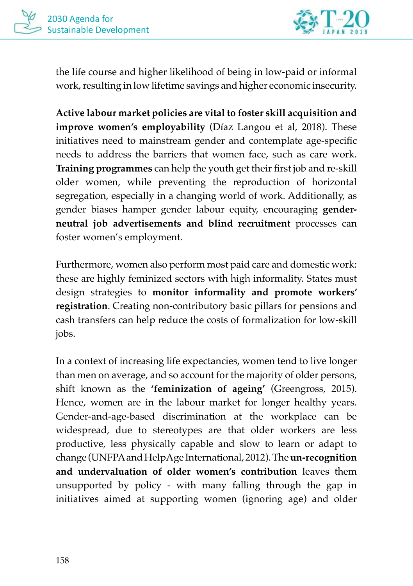

the life course and higher likelihood of being in low-paid or informal work, resulting in low lifetime savings and higher economic insecurity.

**Active labour market policies are vital to foster skill acquisition and improve women's employability** (Díaz Langou et al, 2018). These initiatives need to mainstream gender and contemplate age-specific needs to address the barriers that women face, such as care work. **Training programmes** can help the youth get their first job and re-skill older women, while preventing the reproduction of horizontal segregation, especially in a changing world of work. Additionally, as gender biases hamper gender labour equity, encouraging **genderneutral job advertisements and blind recruitment** processes can foster women's employment.

Furthermore, women also perform most paid care and domestic work: these are highly feminized sectors with high informality. States must design strategies to **monitor informality and promote workers' registration**. Creating non-contributory basic pillars for pensions and cash transfers can help reduce the costs of formalization for low-skill jobs.

In a context of increasing life expectancies, women tend to live longer than men on average, and so account for the majority of older persons, shift known as the **'feminization of ageing'** (Greengross, 2015). Hence, women are in the labour market for longer healthy years. Gender-and-age-based discrimination at the workplace can be widespread, due to stereotypes are that older workers are less productive, less physically capable and slow to learn or adapt to change (UNFPA and HelpAge International, 2012). The **un-recognition and undervaluation of older women's contribution** leaves them unsupported by policy - with many falling through the gap in initiatives aimed at supporting women (ignoring age) and older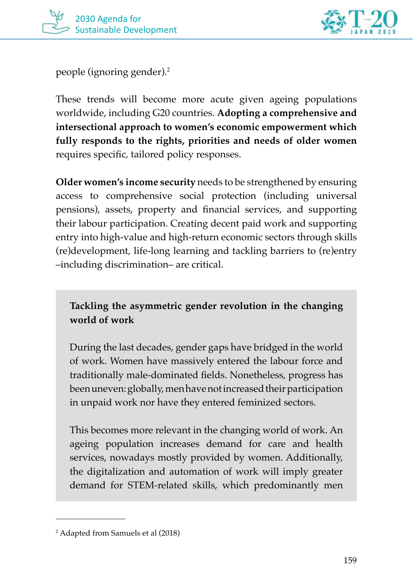



people (ignoring gender).2

These trends will become more acute given ageing populations worldwide, including G20 countries. **Adopting a comprehensive and intersectional approach to women's economic empowerment which fully responds to the rights, priorities and needs of older women** requires specific, tailored policy responses.

**Older women's income security** needs to be strengthened by ensuring access to comprehensive social protection (including universal pensions), assets, property and financial services, and supporting their labour participation. Creating decent paid work and supporting entry into high-value and high-return economic sectors through skills (re)development, life-long learning and tackling barriers to (re)entry –including discrimination– are critical.

**Tackling the asymmetric gender revolution in the changing world of work**

During the last decades, gender gaps have bridged in the world of work. Women have massively entered the labour force and traditionally male-dominated fields. Nonetheless, progress has been uneven: globally, men have not increased their participation in unpaid work nor have they entered feminized sectors.

This becomes more relevant in the changing world of work. An ageing population increases demand for care and health services, nowadays mostly provided by women. Additionally, the digitalization and automation of work will imply greater demand for STEM-related skills, which predominantly men

<sup>2</sup> Adapted from Samuels et al (2018)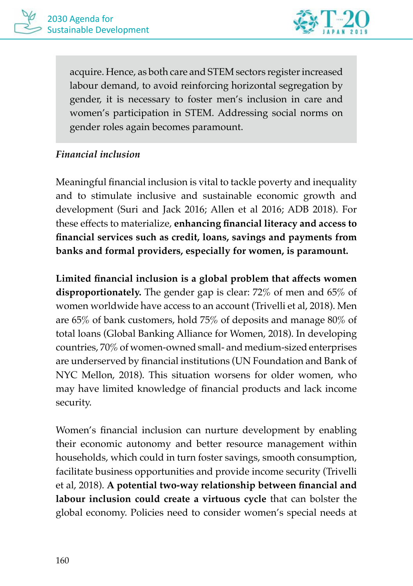

acquire. Hence, as both care and STEM sectors register increased labour demand, to avoid reinforcing horizontal segregation by gender, it is necessary to foster men's inclusion in care and women's participation in STEM. Addressing social norms on gender roles again becomes paramount.

#### *Financial inclusion*

Meaningful financial inclusion is vital to tackle poverty and inequality and to stimulate inclusive and sustainable economic growth and development (Suri and Jack 2016; Allen et al 2016; ADB 2018). For these effects to materialize, **enhancing financial literacy and access to financial services such as credit, loans, savings and payments from banks and formal providers, especially for women, is paramount.** 

**Limited financial inclusion is a global problem that affects women disproportionately.** The gender gap is clear: 72% of men and 65% of women worldwide have access to an account (Trivelli et al, 2018). Men are 65% of bank customers, hold 75% of deposits and manage 80% of total loans (Global Banking Alliance for Women, 2018). In developing countries, 70% of women-owned small- and medium-sized enterprises are underserved by financial institutions (UN Foundation and Bank of NYC Mellon, 2018). This situation worsens for older women, who may have limited knowledge of financial products and lack income security.

Women's financial inclusion can nurture development by enabling their economic autonomy and better resource management within households, which could in turn foster savings, smooth consumption, facilitate business opportunities and provide income security (Trivelli et al, 2018). **A potential two-way relationship between financial and labour inclusion could create a virtuous cycle** that can bolster the global economy. Policies need to consider women's special needs at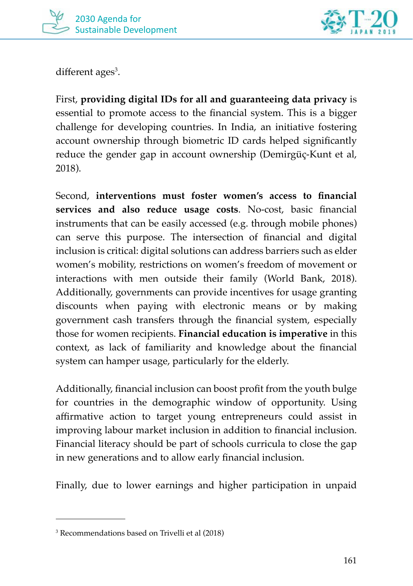



different ages<sup>3</sup>.

First, **providing digital IDs for all and guaranteeing data privacy** is essential to promote access to the financial system. This is a bigger challenge for developing countries. In India, an initiative fostering account ownership through biometric ID cards helped significantly reduce the gender gap in account ownership (Demirgüç-Kunt et al, 2018).

Second, **interventions must foster women's access to financial services and also reduce usage costs**. No-cost, basic financial instruments that can be easily accessed (e.g. through mobile phones) can serve this purpose. The intersection of financial and digital inclusion is critical: digital solutions can address barriers such as elder women's mobility, restrictions on women's freedom of movement or interactions with men outside their family (World Bank, 2018). Additionally, governments can provide incentives for usage granting discounts when paying with electronic means or by making government cash transfers through the financial system, especially those for women recipients. **Financial education is imperative** in this context, as lack of familiarity and knowledge about the financial system can hamper usage, particularly for the elderly.

Additionally, financial inclusion can boost profit from the youth bulge for countries in the demographic window of opportunity. Using affirmative action to target young entrepreneurs could assist in improving labour market inclusion in addition to financial inclusion. Financial literacy should be part of schools curricula to close the gap in new generations and to allow early financial inclusion.

Finally, due to lower earnings and higher participation in unpaid

<sup>3</sup> Recommendations based on Trivelli et al (2018)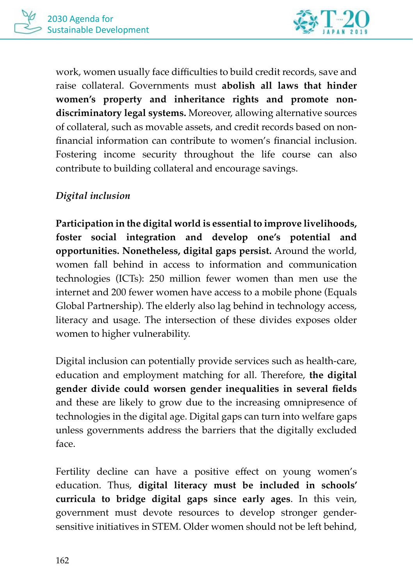

work, women usually face difficulties to build credit records, save and raise collateral. Governments must **abolish all laws that hinder women's property and inheritance rights and promote nondiscriminatory legal systems.** Moreover, allowing alternative sources of collateral, such as movable assets, and credit records based on nonfinancial information can contribute to women's financial inclusion. Fostering income security throughout the life course can also contribute to building collateral and encourage savings.

#### *Digital inclusion*

**Participation in the digital world is essential to improve livelihoods, foster social integration and develop one's potential and opportunities. Nonetheless, digital gaps persist.** Around the world, women fall behind in access to information and communication technologies (ICTs): 250 million fewer women than men use the internet and 200 fewer women have access to a mobile phone (Equals Global Partnership). The elderly also lag behind in technology access, literacy and usage. The intersection of these divides exposes older women to higher vulnerability.

Digital inclusion can potentially provide services such as health-care, education and employment matching for all. Therefore, **the digital gender divide could worsen gender inequalities in several fields**  and these are likely to grow due to the increasing omnipresence of technologies in the digital age. Digital gaps can turn into welfare gaps unless governments address the barriers that the digitally excluded face.

Fertility decline can have a positive effect on young women's education. Thus, **digital literacy must be included in schools' curricula to bridge digital gaps since early ages**. In this vein, government must devote resources to develop stronger gendersensitive initiatives in STEM. Older women should not be left behind,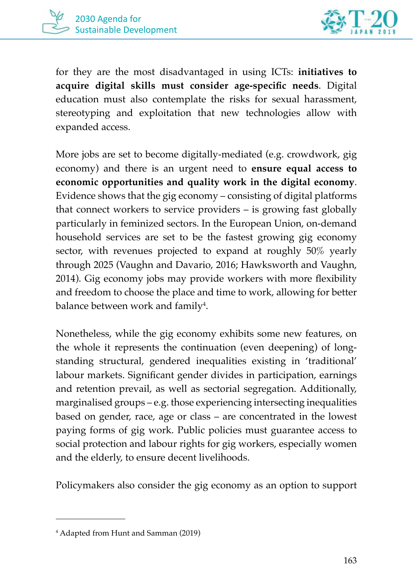



for they are the most disadvantaged in using ICTs: **initiatives to acquire digital skills must consider age-specific needs**. Digital education must also contemplate the risks for sexual harassment, stereotyping and exploitation that new technologies allow with expanded access.

More jobs are set to become digitally-mediated (e.g. crowdwork, gig economy) and there is an urgent need to **ensure equal access to economic opportunities and quality work in the digital economy**. Evidence shows that the gig economy – consisting of digital platforms that connect workers to service providers – is growing fast globally particularly in feminized sectors. In the European Union, on-demand household services are set to be the fastest growing gig economy sector, with revenues projected to expand at roughly 50% yearly through 2025 (Vaughn and Davario, 2016; Hawksworth and Vaughn, 2014). Gig economy jobs may provide workers with more flexibility and freedom to choose the place and time to work, allowing for better balance between work and family $^4$ .

Nonetheless, while the gig economy exhibits some new features, on the whole it represents the continuation (even deepening) of longstanding structural, gendered inequalities existing in 'traditional' labour markets. Significant gender divides in participation, earnings and retention prevail, as well as sectorial segregation. Additionally, marginalised groups – e.g. those experiencing intersecting inequalities based on gender, race, age or class – are concentrated in the lowest paying forms of gig work. Public policies must guarantee access to social protection and labour rights for gig workers, especially women and the elderly, to ensure decent livelihoods.

Policymakers also consider the gig economy as an option to support

<sup>4</sup> Adapted from Hunt and Samman (2019)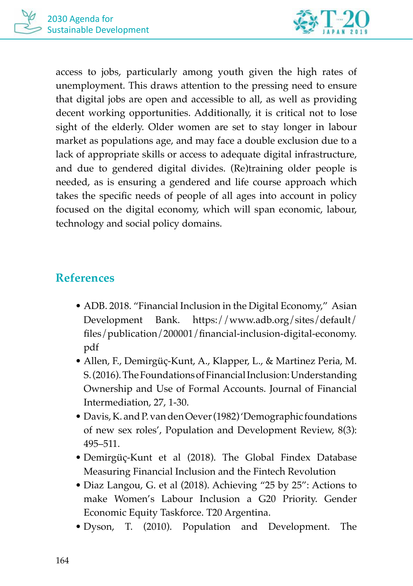

access to jobs, particularly among youth given the high rates of unemployment. This draws attention to the pressing need to ensure that digital jobs are open and accessible to all, as well as providing decent working opportunities. Additionally, it is critical not to lose sight of the elderly. Older women are set to stay longer in labour market as populations age, and may face a double exclusion due to a lack of appropriate skills or access to adequate digital infrastructure, and due to gendered digital divides. (Re)training older people is needed, as is ensuring a gendered and life course approach which takes the specific needs of people of all ages into account in policy focused on the digital economy, which will span economic, labour, technology and social policy domains.

## **References**

- ADB. 2018. "Financial Inclusion in the Digital Economy," Asian Development Bank. https://www.adb.org/sites/default/ files/publication/200001/financial-inclusion-digital-economy. pdf
- Allen, F., Demirgüç-Kunt, A., Klapper, L., & Martinez Peria, M. S. (2016). The Foundations of Financial Inclusion: Understanding Ownership and Use of Formal Accounts. Journal of Financial Intermediation, 27, 1-30.
- Davis, K. and P. van den Oever (1982) 'Demographic foundations of new sex roles', Population and Development Review, 8(3): 495–511.
- Demirgüç-Kunt et al (2018). The Global Findex Database Measuring Financial Inclusion and the Fintech Revolution
- Diaz Langou, G. et al (2018). Achieving "25 by 25": Actions to make Women's Labour Inclusion a G20 Priority. Gender Economic Equity Taskforce. T20 Argentina.
- Dyson, T. (2010). Population and Development. The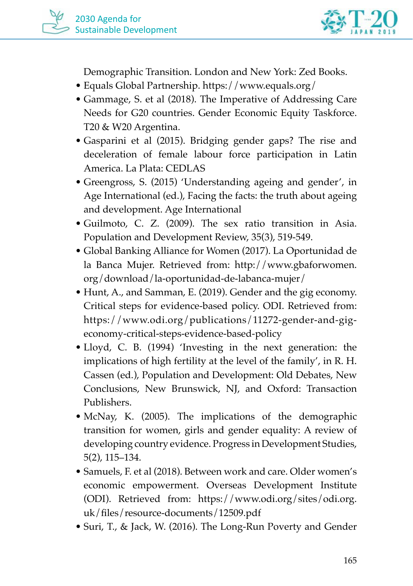

Demographic Transition. London and New York: Zed Books.

- Equals Global Partnership. https://www.equals.org/
- Gammage, S. et al (2018). The Imperative of Addressing Care Needs for G20 countries. Gender Economic Equity Taskforce. T20 & W20 Argentina.
- Gasparini et al (2015). Bridging gender gaps? The rise and deceleration of female labour force participation in Latin America. La Plata: CEDLAS
- Greengross, S. (2015) 'Understanding ageing and gender', in Age International (ed.), Facing the facts: the truth about ageing and development. Age International
- Guilmoto, C. Z. (2009). The sex ratio transition in Asia. Population and Development Review, 35(3), 519-549.
- Global Banking Alliance for Women (2017). La Oportunidad de la Banca Mujer. Retrieved from: http://www.gbaforwomen. org/download/la-oportunidad-de-labanca-mujer/
- Hunt, A., and Samman, E. (2019). Gender and the gig economy. Critical steps for evidence-based policy. ODI. Retrieved from: https://www.odi.org/publications/11272-gender-and-gigeconomy-critical-steps-evidence-based-policy
- Lloyd, C. B. (1994) 'Investing in the next generation: the implications of high fertility at the level of the family', in R. H. Cassen (ed.), Population and Development: Old Debates, New Conclusions, New Brunswick, NJ, and Oxford: Transaction Publishers.
- McNay, K. (2005). The implications of the demographic transition for women, girls and gender equality: A review of developing country evidence. Progress in Development Studies, 5(2), 115–134.
- Samuels, F. et al (2018). Between work and care. Older women's economic empowerment. Overseas Development Institute (ODI). Retrieved from: https://www.odi.org/sites/odi.org. uk/files/resource-documents/12509.pdf
- Suri, T., & Jack, W. (2016). The Long-Run Poverty and Gender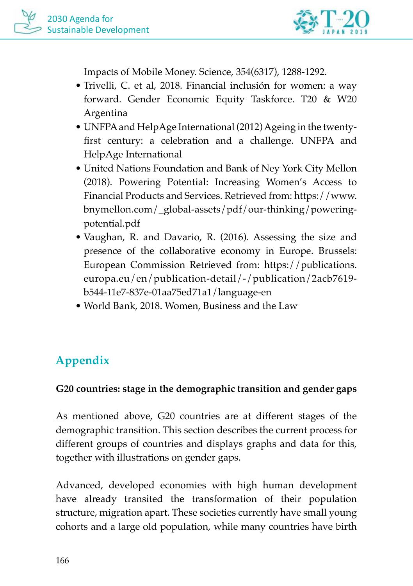

Impacts of Mobile Money. Science, 354(6317), 1288-1292.

- Trivelli, C. et al, 2018. Financial inclusión for women: a way forward. Gender Economic Equity Taskforce. T20 & W20 Argentina
- UNFPA and HelpAge International (2012) Ageing in the twentyfirst century: a celebration and a challenge. UNFPA and HelpAge International
- United Nations Foundation and Bank of Ney York City Mellon (2018). Powering Potential: Increasing Women's Access to Financial Products and Services. Retrieved from: https://www. bnymellon.com/\_global-assets/pdf/our-thinking/poweringpotential.pdf
- Vaughan, R. and Davario, R. (2016). Assessing the size and presence of the collaborative economy in Europe. Brussels: European Commission Retrieved from: https://publications. europa.eu/en/publication-detail/-/publication/2acb7619 b544-11e7-837e-01aa75ed71a1/language-en
- World Bank, 2018. Women, Business and the Law

## **Appendix**

#### **G20 countries: stage in the demographic transition and gender gaps**

As mentioned above, G20 countries are at different stages of the demographic transition. This section describes the current process for different groups of countries and displays graphs and data for this, together with illustrations on gender gaps.

Advanced, developed economies with high human development have already transited the transformation of their population structure, migration apart. These societies currently have small young cohorts and a large old population, while many countries have birth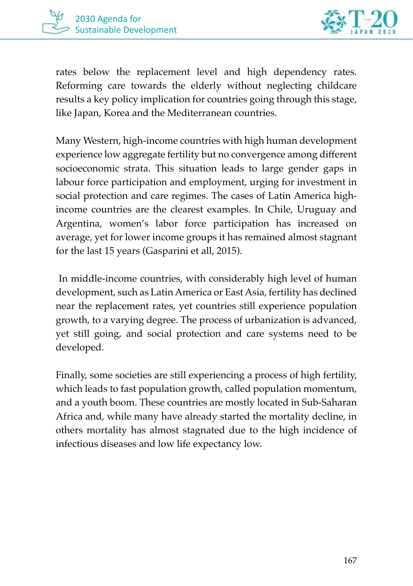



rates below the replacement level and high dependency rates. Reforming care towards the elderly without neglecting childcare results a key policy implication for countries going through this stage, like Japan, Korea and the Mediterranean countries.

Many Western, high-income countries with high human development experience low aggregate fertility but no convergence among different socioeconomic strata. This situation leads to large gender gaps in labour force participation and employment, urging for investment in social protection and care regimes. The cases of Latin America highincome countries are the clearest examples. In Chile, Uruguay and Argentina, women's labor force participation has increased on average, yet for lower income groups it has remained almost stagnant for the last 15 years (Gasparini et all, 2015).

 In middle-income countries, with considerably high level of human development, such as Latin America or East Asia, fertility has declined near the replacement rates, yet countries still experience population growth, to a varying degree. The process of urbanization is advanced, yet still going, and social protection and care systems need to be developed.

Finally, some societies are still experiencing a process of high fertility, which leads to fast population growth, called population momentum, and a youth boom. These countries are mostly located in Sub-Saharan Africa and, while many have already started the mortality decline, in others mortality has almost stagnated due to the high incidence of infectious diseases and low life expectancy low.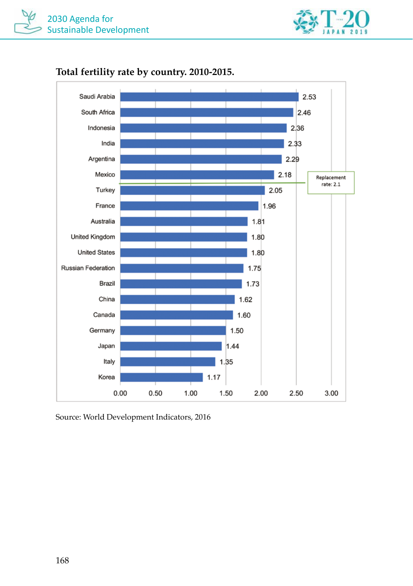



#### **Total fertility rate by country. 2010-2015.**

Source: World Development Indicators, 2016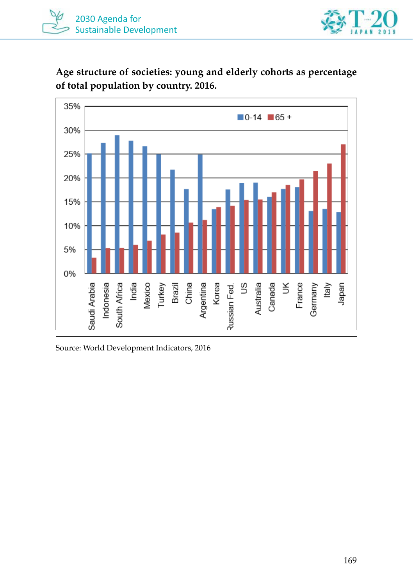

**Age structure of societies: young and elderly cohorts as percentage of total population by country. 2016.**



Source: World Development Indicators, 2016